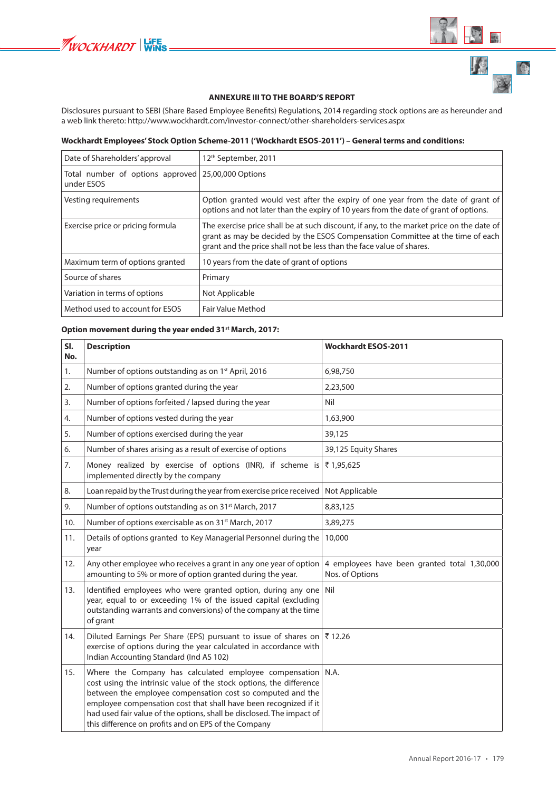

 $\bigoplus$ 

## **ANNEXURE III TO THE BOARD'S REPORT**

Disclosures pursuant to SEBI (Share Based Employee Benefits) Regulations, 2014 regarding stock options are as hereunder and a web link thereto: http://www.wockhardt.com/investor-connect/other-shareholders-services.aspx

## Wockhardt Employees' Stock Option Scheme-2011 ('Wockhardt ESOS-2011') - General terms and conditions:

| Date of Shareholders' approval                                   | 12 <sup>th</sup> September, 2011                                                                                                                                                                                                                   |
|------------------------------------------------------------------|----------------------------------------------------------------------------------------------------------------------------------------------------------------------------------------------------------------------------------------------------|
| Total number of options approved 25,00,000 Options<br>under ESOS |                                                                                                                                                                                                                                                    |
| Vesting requirements                                             | Option granted would vest after the expiry of one year from the date of grant of<br>options and not later than the expiry of 10 years from the date of grant of options.                                                                           |
| Exercise price or pricing formula                                | The exercise price shall be at such discount, if any, to the market price on the date of<br>grant as may be decided by the ESOS Compensation Committee at the time of each<br>grant and the price shall not be less than the face value of shares. |
| Maximum term of options granted                                  | 10 years from the date of grant of options                                                                                                                                                                                                         |
| Source of shares                                                 | Primary                                                                                                                                                                                                                                            |
| Variation in terms of options                                    | Not Applicable                                                                                                                                                                                                                                     |
| Method used to account for ESOS                                  | <b>Fair Value Method</b>                                                                                                                                                                                                                           |

## Option movement during the year ended 31<sup>st</sup> March, 2017:

| SI.<br>No. | <b>Description</b>                                                                                                                                                                                                                                                                                                                                                                               | <b>Wockhardt ESOS-2011</b>                                      |
|------------|--------------------------------------------------------------------------------------------------------------------------------------------------------------------------------------------------------------------------------------------------------------------------------------------------------------------------------------------------------------------------------------------------|-----------------------------------------------------------------|
| 1.         | Number of options outstanding as on 1st April, 2016                                                                                                                                                                                                                                                                                                                                              | 6,98,750                                                        |
| 2.         | Number of options granted during the year                                                                                                                                                                                                                                                                                                                                                        | 2,23,500                                                        |
| 3.         | Number of options forfeited / lapsed during the year                                                                                                                                                                                                                                                                                                                                             | Nil                                                             |
| 4.         | Number of options vested during the year                                                                                                                                                                                                                                                                                                                                                         | 1,63,900                                                        |
| 5.         | Number of options exercised during the year                                                                                                                                                                                                                                                                                                                                                      | 39,125                                                          |
| 6.         | Number of shares arising as a result of exercise of options                                                                                                                                                                                                                                                                                                                                      | 39,125 Equity Shares                                            |
| 7.         | Money realized by exercise of options (INR), if scheme is<br>implemented directly by the company                                                                                                                                                                                                                                                                                                 | ₹1,95,625                                                       |
| 8.         | Loan repaid by the Trust during the year from exercise price received                                                                                                                                                                                                                                                                                                                            | Not Applicable                                                  |
| 9.         | Number of options outstanding as on 31 <sup>st</sup> March, 2017                                                                                                                                                                                                                                                                                                                                 | 8,83,125                                                        |
| 10.        | Number of options exercisable as on 31 <sup>st</sup> March, 2017                                                                                                                                                                                                                                                                                                                                 | 3,89,275                                                        |
| 11.        | Details of options granted to Key Managerial Personnel during the<br>year                                                                                                                                                                                                                                                                                                                        | 10,000                                                          |
| 12.        | Any other employee who receives a grant in any one year of option<br>amounting to 5% or more of option granted during the year.                                                                                                                                                                                                                                                                  | 4 employees have been granted total 1,30,000<br>Nos. of Options |
| 13.        | Identified employees who were granted option, during any one<br>year, equal to or exceeding 1% of the issued capital (excluding<br>outstanding warrants and conversions) of the company at the time<br>of grant                                                                                                                                                                                  | Nil                                                             |
| 14.        | Diluted Earnings Per Share (EPS) pursuant to issue of shares on<br>exercise of options during the year calculated in accordance with<br>Indian Accounting Standard (Ind AS 102)                                                                                                                                                                                                                  | ₹12.26                                                          |
| 15.        | Where the Company has calculated employee compensation<br>cost using the intrinsic value of the stock options, the difference<br>between the employee compensation cost so computed and the<br>employee compensation cost that shall have been recognized if it<br>had used fair value of the options, shall be disclosed. The impact of<br>this difference on profits and on EPS of the Company | N.A.                                                            |